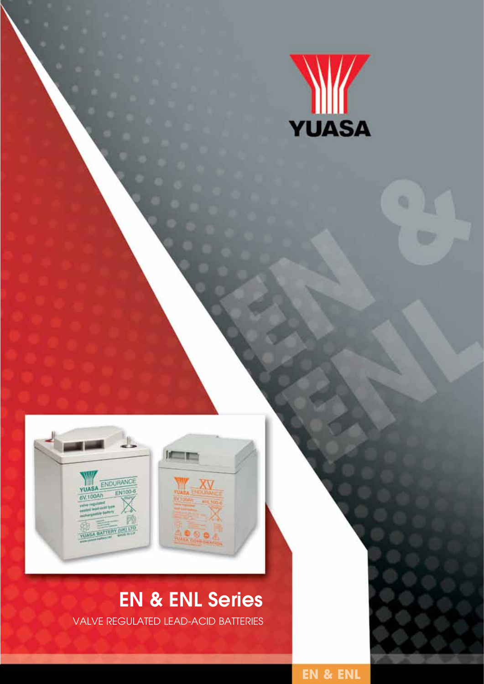



# EN & ENL Series

valve regulated lead-acid batteries

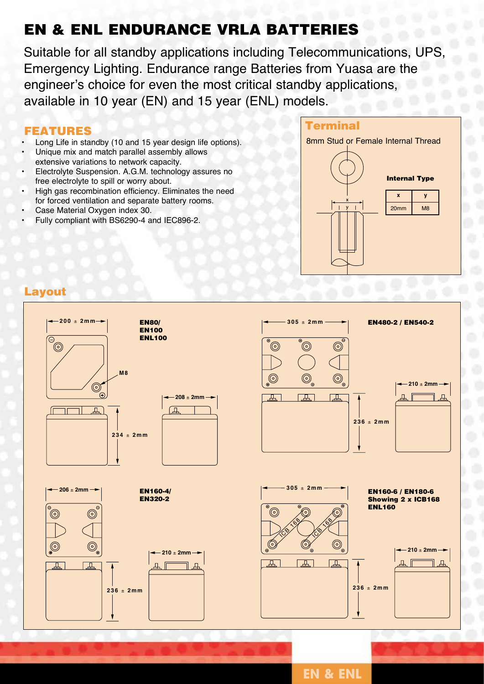### EN & ENL Endurance VRLA Batteries

Suitable for all standby applications including Telecommunications, UPS, Emergency Lighting. Endurance range Batteries from Yuasa are the engineer's choice for even the most critical standby applications, available in 10 year (EN) and 15 year (ENL) models.

#### **FEATURES**

- Long Life in standby (10 and 15 year design life options).
- Unique mix and match parallel assembly allows extensive variations to network capacity.
- Electrolyte Suspension. A.G.M. technology assures no free electrolyte to spill or worry about.
- High gas recombination efficiency. Eliminates the need for forced ventilation and separate battery rooms.
- Case Material Oxygen index 30.
- Fully compliant with BS6290-4 and IEC896-2.





#### Layout



**EN & ENL**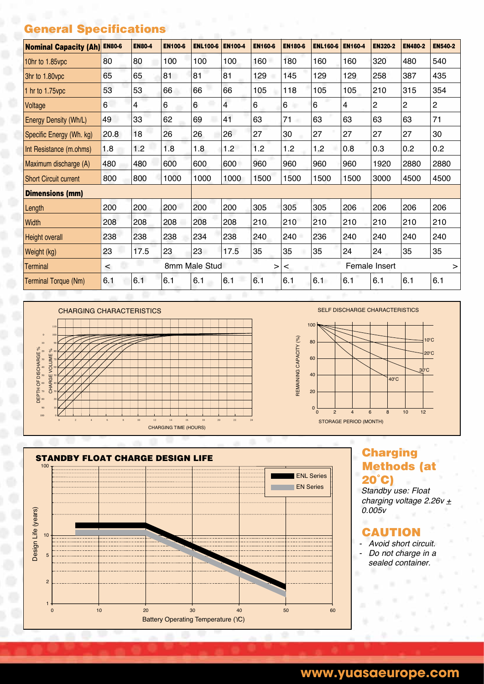#### General Specifications

| <b>Nominal Capacity (Ah)</b> | <b>EN80-6</b> | <b>EN80-4</b> | <b>EN100-6</b> | <b>ENL100-6</b>    | <b>EN100-4</b> | <b>EN160-6</b> | <b>EN180-6</b> | <b>ENL160-6</b> | <b>EN160-4</b> | <b>EN320-2</b>          | <b>EN480-2</b> | <b>EN540-2</b> |
|------------------------------|---------------|---------------|----------------|--------------------|----------------|----------------|----------------|-----------------|----------------|-------------------------|----------------|----------------|
| 10hr to 1.85vpc              | 80            | 80            | 100            | 100                | 100            | 160            | 180            | 160             | 160            | 320                     | 480            | 540            |
| 3hr to 1.80vpc               | 65            | 65            | 81             | 81                 | 81             | 129            | 145            | 129             | 129            | 258                     | 387            | 435            |
| 1 hr to 1.75vpc              | 53            | 53            | 66             | 66                 | 66             | 105            | 118            | 105             | 105            | 210                     | 315            | 354            |
| Voltage                      | 6             | 4             | 6              | 6                  | 4              | 6              | 6<br>٠         | 6               | 4              | $\mathbf{2}$            | 2              | 2              |
| Energy Density (Wh/L)        | 49            | 33            | 62             | 69                 | 41             | 63             | 71             | 63              | 63             | 63                      | 63             | 71             |
| Specific Energy (Wh. kg)     | 20.8          | 18            | 26             | 26                 | 26             | 27             | 30             | 27              | 27             | 27                      | 27             | 30             |
| Int Resistance (m.ohms)      | 1.8           | 1.2           | 1.8            | 1.8                | 1.2            | 1.2            | 1.2            | 1.2             | 0.8            | 0.3                     | 0.2            | 0.2            |
| Maximum discharge (A)        | 480           | 480           | 600            | 600                | 600            | 960            | 960            | 960             | 960            | 1920                    | 2880           | 2880           |
| <b>Short Circuit current</b> | 800           | 800           | 1000           | 1000               | 1000           | 1500           | 1500           | 1500            | 1500           | 3000                    | 4500           | 4500           |
| <b>Dimensions (mm)</b>       |               |               |                |                    |                |                |                |                 |                |                         |                |                |
| Length                       | 200           | 200           | 200            | 200                | 200            | 305            | 305            | 305             | 206            | 206                     | 206            | 206            |
| Width                        | 208           | 208           | 208            | 208                | 208            | 210            | 210            | 210             | 210            | 210                     | 210            | 210            |
| Height overall               | 238           | 238           | 238            | 234                | 238            | 240            | 240            | 236             | 240            | 240                     | 240            | 240            |
| Weight (kg)                  | 23            | 17.5          | 23             | 23                 | 17.5           | 35             | 35             | 35              | 24             | 24                      | 35             | 35             |
| <b>Terminal</b>              | $\prec$       |               |                | 8mm Male Stud<br>> |                |                | $\,<\,$        |                 |                | Female Insert<br>$\geq$ |                |                |
| Terminal Torque (Nm)         | 6.1           | 6.1           | 6.1            | 6.1                | 6.1            | 6.1            | 6.1            | 6.1             | 6.1            | 6.1                     | 6.1            | 6.1            |







## Methods (at 20˚C)

*Standby use: Float charging voltage 2.26v + 0.005v*

#### CAUTION

- *- Avoid short circuit. - Do not charge in a*
- *sealed container.*